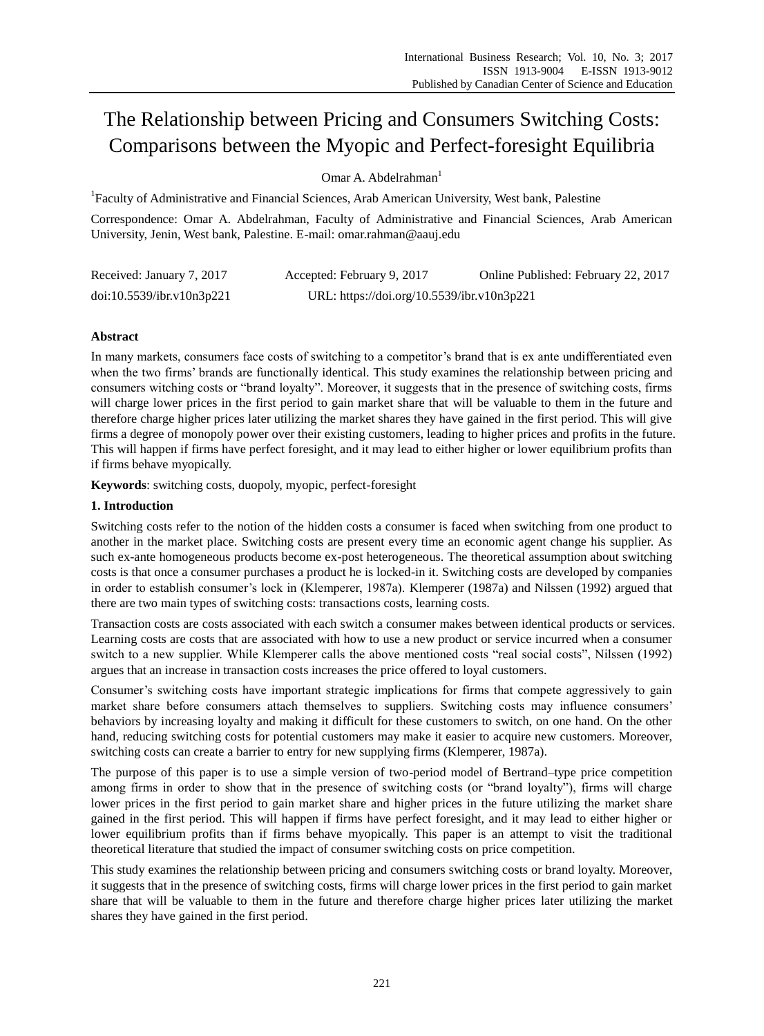# The Relationship between Pricing and Consumers Switching Costs: Comparisons between the Myopic and Perfect-foresight Equilibria

Omar A. Abdelrahman<sup>1</sup>

<sup>1</sup> Faculty of Administrative and Financial Sciences, Arab American University, West bank, Palestine

Correspondence: Omar A. Abdelrahman, Faculty of Administrative and Financial Sciences, Arab American University, Jenin, West bank, Palestine. E-mail: omar.rahman@aauj.edu

| Received: January 7, 2017 | Accepted: February 9, 2017                 | Online Published: February 22, 2017 |
|---------------------------|--------------------------------------------|-------------------------------------|
| doi:10.5539/ibr.v10n3p221 | URL: https://doi.org/10.5539/ibr.v10n3p221 |                                     |

## **Abstract**

In many markets, consumers face costs of switching to a competitor's brand that is ex ante undifferentiated even when the two firms' brands are functionally identical. This study examines the relationship between pricing and consumers witching costs or "brand loyalty". Moreover, it suggests that in the presence of switching costs, firms will charge lower prices in the first period to gain market share that will be valuable to them in the future and therefore charge higher prices later utilizing the market shares they have gained in the first period. This will give firms a degree of monopoly power over their existing customers, leading to higher prices and profits in the future. This will happen if firms have perfect foresight, and it may lead to either higher or lower equilibrium profits than if firms behave myopically.

**Keywords**: switching costs, duopoly, myopic, perfect-foresight

## **1. Introduction**

Switching costs refer to the notion of the hidden costs a consumer is faced when switching from one product to another in the market place. Switching costs are present every time an economic agent change his supplier. As such ex-ante homogeneous products become ex-post heterogeneous. The theoretical assumption about switching costs is that once a consumer purchases a product he is locked-in it. Switching costs are developed by companies in order to establish consumer's lock in (Klemperer, 1987a). Klemperer (1987a) and Nilssen (1992) argued that there are two main types of switching costs: transactions costs, learning costs.

Transaction costs are costs associated with each switch a consumer makes between identical products or services. Learning costs are costs that are associated with how to use a new product or service incurred when a consumer switch to a new supplier. While Klemperer calls the above mentioned costs "real social costs", Nilssen (1992) argues that an increase in transaction costs increases the price offered to loyal customers.

Consumer's switching costs have important strategic implications for firms that compete aggressively to gain market share before consumers attach themselves to suppliers. Switching costs may influence consumers' behaviors by increasing loyalty and making it difficult for these customers to switch, on one hand. On the other hand, reducing switching costs for potential customers may make it easier to acquire new customers. Moreover, switching costs can create a barrier to entry for new supplying firms (Klemperer, 1987a).

The purpose of this paper is to use a simple version of two-period model of Bertrand–type price competition among firms in order to show that in the presence of switching costs (or "brand loyalty"), firms will charge lower prices in the first period to gain market share and higher prices in the future utilizing the market share gained in the first period. This will happen if firms have perfect foresight, and it may lead to either higher or lower equilibrium profits than if firms behave myopically. This paper is an attempt to visit the traditional theoretical literature that studied the impact of consumer switching costs on price competition.

This study examines the relationship between pricing and consumers switching costs or brand loyalty. Moreover, it suggests that in the presence of switching costs, firms will charge lower prices in the first period to gain market share that will be valuable to them in the future and therefore charge higher prices later utilizing the market shares they have gained in the first period.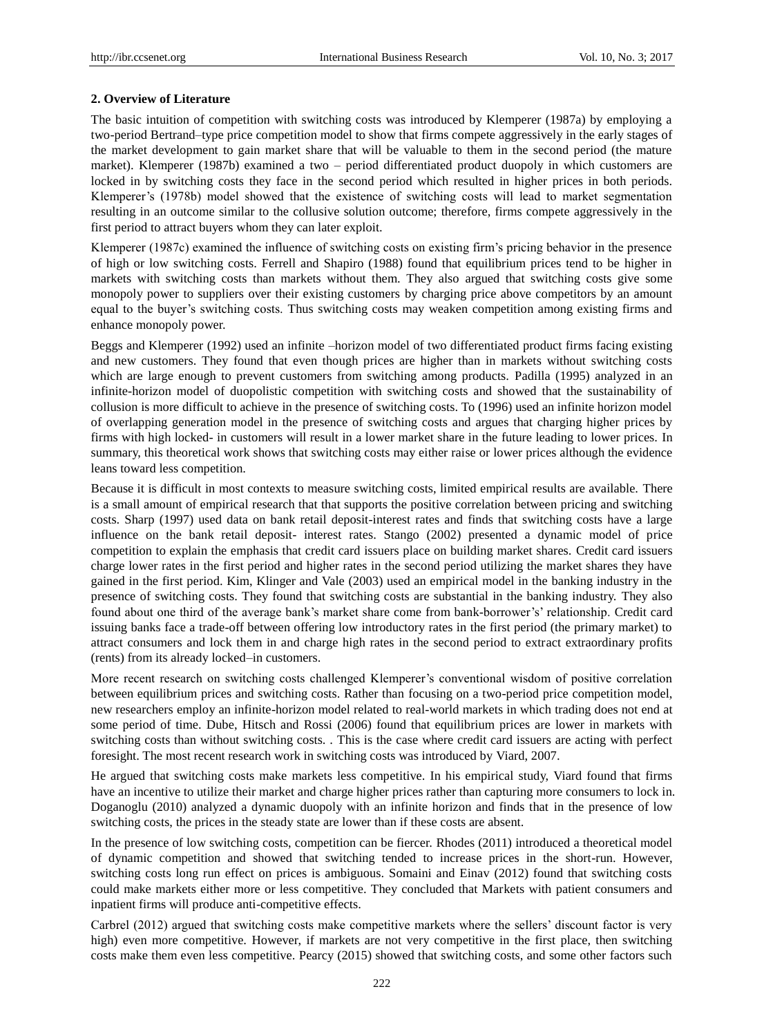#### **2. Overview of Literature**

The basic intuition of competition with switching costs was introduced by Klemperer (1987a) by employing a two-period Bertrand–type price competition model to show that firms compete aggressively in the early stages of the market development to gain market share that will be valuable to them in the second period (the mature market). Klemperer (1987b) examined a two – period differentiated product duopoly in which customers are locked in by switching costs they face in the second period which resulted in higher prices in both periods. Klemperer's (1978b) model showed that the existence of switching costs will lead to market segmentation resulting in an outcome similar to the collusive solution outcome; therefore, firms compete aggressively in the first period to attract buyers whom they can later exploit.

Klemperer (1987c) examined the influence of switching costs on existing firm's pricing behavior in the presence of high or low switching costs. Ferrell and Shapiro (1988) found that equilibrium prices tend to be higher in markets with switching costs than markets without them. They also argued that switching costs give some monopoly power to suppliers over their existing customers by charging price above competitors by an amount equal to the buyer's switching costs. Thus switching costs may weaken competition among existing firms and enhance monopoly power.

Beggs and Klemperer (1992) used an infinite –horizon model of two differentiated product firms facing existing and new customers. They found that even though prices are higher than in markets without switching costs which are large enough to prevent customers from switching among products. Padilla (1995) analyzed in an infinite-horizon model of duopolistic competition with switching costs and showed that the sustainability of collusion is more difficult to achieve in the presence of switching costs. To (1996) used an infinite horizon model of overlapping generation model in the presence of switching costs and argues that charging higher prices by firms with high locked- in customers will result in a lower market share in the future leading to lower prices. In summary, this theoretical work shows that switching costs may either raise or lower prices although the evidence leans toward less competition.

Because it is difficult in most contexts to measure switching costs, limited empirical results are available. There is a small amount of empirical research that that supports the positive correlation between pricing and switching costs. Sharp (1997) used data on bank retail deposit-interest rates and finds that switching costs have a large influence on the bank retail deposit- interest rates. Stango (2002) presented a dynamic model of price competition to explain the emphasis that credit card issuers place on building market shares. Credit card issuers charge lower rates in the first period and higher rates in the second period utilizing the market shares they have gained in the first period. Kim, Klinger and Vale (2003) used an empirical model in the banking industry in the presence of switching costs. They found that switching costs are substantial in the banking industry. They also found about one third of the average bank's market share come from bank-borrower's' relationship. Credit card issuing banks face a trade-off between offering low introductory rates in the first period (the primary market) to attract consumers and lock them in and charge high rates in the second period to extract extraordinary profits (rents) from its already locked–in customers.

More recent research on switching costs challenged Klemperer's conventional wisdom of positive correlation between equilibrium prices and switching costs. Rather than focusing on a two-period price competition model, new researchers employ an infinite-horizon model related to real-world markets in which trading does not end at some period of time. Dube, Hitsch and Rossi (2006) found that equilibrium prices are lower in markets with switching costs than without switching costs. . This is the case where credit card issuers are acting with perfect foresight. The most recent research work in switching costs was introduced by Viard, 2007.

He argued that switching costs make markets less competitive. In his empirical study, Viard found that firms have an incentive to utilize their market and charge higher prices rather than capturing more consumers to lock in. Doganoglu (2010) analyzed a dynamic duopoly with an infinite horizon and finds that in the presence of low switching costs, the prices in the steady state are lower than if these costs are absent.

In the presence of low switching costs, competition can be fiercer. Rhodes (2011) introduced a theoretical model of dynamic competition and showed that switching tended to increase prices in the short-run. However, switching costs long run effect on prices is ambiguous. Somaini and Einav (2012) found that switching costs could make markets either more or less competitive. They concluded that Markets with patient consumers and inpatient firms will produce anti-competitive effects.

Carbrel (2012) argued that switching costs make competitive markets where the sellers' discount factor is very high) even more competitive. However, if markets are not very competitive in the first place, then switching costs make them even less competitive. Pearcy (2015) showed that switching costs, and some other factors such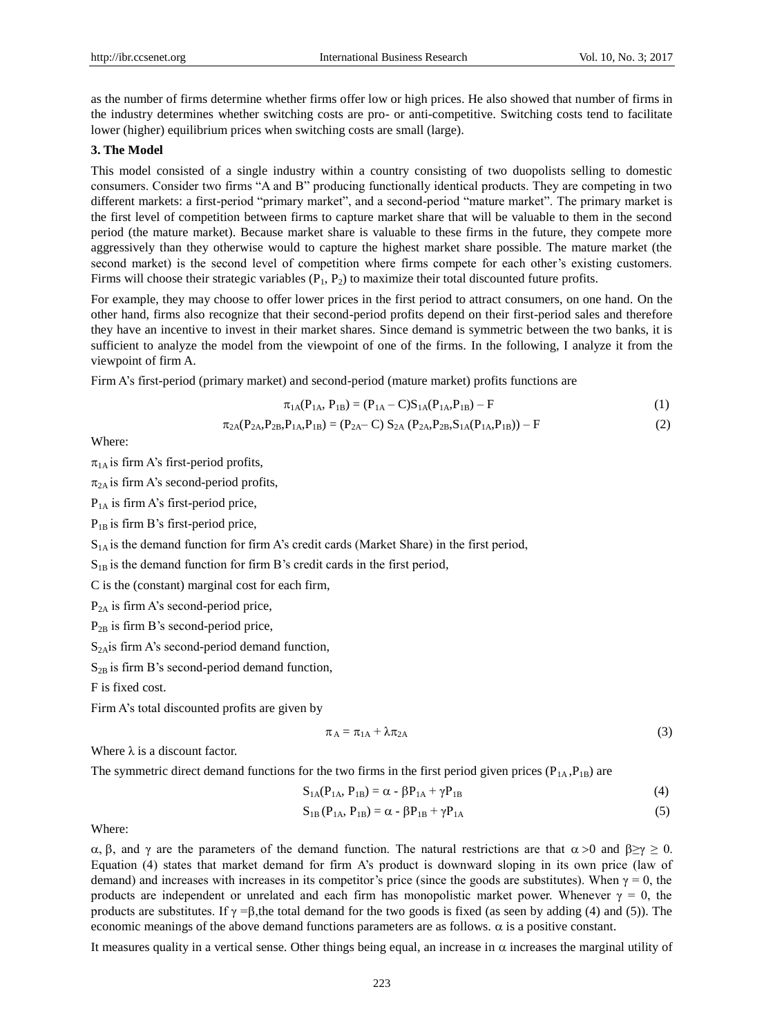as the number of firms determine whether firms offer low or high prices. He also showed that number of firms in the industry determines whether switching costs are pro- or anti-competitive. Switching costs tend to facilitate lower (higher) equilibrium prices when switching costs are small (large).

## **3. The Model**

This model consisted of a single industry within a country consisting of two duopolists selling to domestic consumers. Consider two firms "A and B" producing functionally identical products. They are competing in two different markets: a first-period "primary market", and a second-period "mature market". The primary market is the first level of competition between firms to capture market share that will be valuable to them in the second period (the mature market). Because market share is valuable to these firms in the future, they compete more aggressively than they otherwise would to capture the highest market share possible. The mature market (the second market) is the second level of competition where firms compete for each other's existing customers. Firms will choose their strategic variables  $(P_1, P_2)$  to maximize their total discounted future profits.

For example, they may choose to offer lower prices in the first period to attract consumers, on one hand. On the other hand, firms also recognize that their second-period profits depend on their first-period sales and therefore they have an incentive to invest in their market shares. Since demand is symmetric between the two banks, it is sufficient to analyze the model from the viewpoint of one of the firms. In the following, I analyze it from the viewpoint of firm A.

Firm A's first-period (primary market) and second-period (mature market) profits functions are

$$
\pi_{1A}(P_{1A}, P_{1B}) = (P_{1A} - C)S_{1A}(P_{1A}, P_{1B}) - F
$$
\n(1)

$$
\pi_{2A}(P_{2A}, P_{2B}, P_{1A}, P_{1B}) = (P_{2A} - C) S_{2A} (P_{2A}, P_{2B}, S_{1A}(P_{1A}, P_{1B})) - F
$$
\n(2)

Where:

 $\pi_{1A}$  is firm A's first-period profits,

 $\pi_{2A}$  is firm A's second-period profits,

 $P_{1A}$  is firm A's first-period price,

 $P_{1B}$  is firm B's first-period price,

 $S<sub>1A</sub>$  is the demand function for firm A's credit cards (Market Share) in the first period,

 $S_{1B}$  is the demand function for firm B's credit cards in the first period,

C is the (constant) marginal cost for each firm,

 $P<sub>2A</sub>$  is firm A's second-period price,

 $P_{2B}$  is firm B's second-period price,

 $S<sub>2A</sub>$ is firm A's second-period demand function,

 $S_{2B}$  is firm B's second-period demand function,

F is fixed cost.

Firm A's total discounted profits are given by

$$
\pi_A = \pi_{1A} + \lambda \pi_{2A} \tag{3}
$$

Where  $\lambda$  is a discount factor.

The symmetric direct demand functions for the two firms in the first period given prices ( $P_{1A}, P_{1B}$ ) are

$$
S_{1A}(P_{1A}, P_{1B}) = \alpha - \beta P_{1A} + \gamma P_{1B} \tag{4}
$$

$$
S_{1B}(P_{1A}, P_{1B}) = \alpha - \beta P_{1B} + \gamma P_{1A}
$$
 (5)

Where:

α, β, and γ are the parameters of the demand function. The natural restrictions are that  $\alpha > 0$  and  $\beta \ge \gamma \ge 0$ . Equation (4) states that market demand for firm A's product is downward sloping in its own price (law of demand) and increases with increases in its competitor's price (since the goods are substitutes). When  $\gamma = 0$ , the products are independent or unrelated and each firm has monopolistic market power. Whenever  $\gamma = 0$ , the products are substitutes. If  $\gamma = \beta$ , the total demand for the two goods is fixed (as seen by adding (4) and (5)). The economic meanings of the above demand functions parameters are as follows.  $\alpha$  is a positive constant.

It measures quality in a vertical sense. Other things being equal, an increase in  $\alpha$  increases the marginal utility of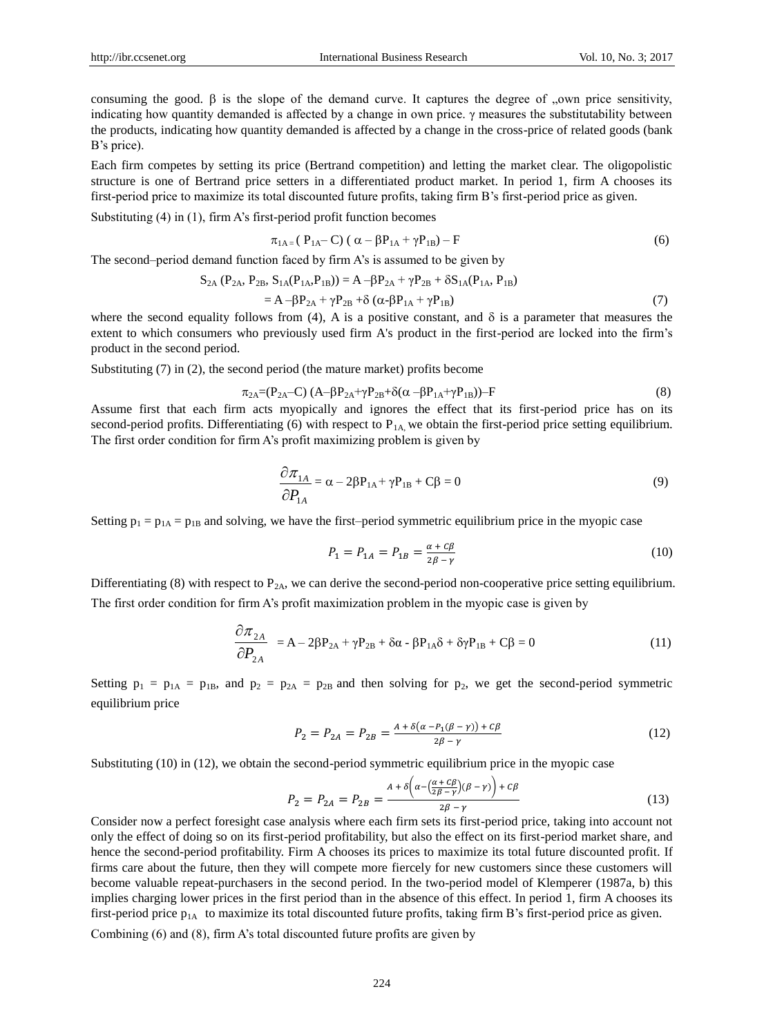consuming the good.  $\beta$  is the slope of the demand curve. It captures the degree of "own price sensitivity," indicating how quantity demanded is affected by a change in own price. γ measures the substitutability between the products, indicating how quantity demanded is affected by a change in the cross-price of related goods (bank B's price).

Each firm competes by setting its price (Bertrand competition) and letting the market clear. The oligopolistic structure is one of Bertrand price setters in a differentiated product market. In period 1, firm A chooses its first-period price to maximize its total discounted future profits, taking firm B's first-period price as given.

Substituting (4) in (1), firm A's first-period profit function becomes

$$
\pi_{1A=}(P_{1A}-C)(\alpha - \beta P_{1A} + \gamma P_{1B}) - F
$$
\n(6)

The second–period demand function faced by firm A's is assumed to be given by

$$
S_{2A} (P_{2A}, P_{2B}, S_{1A}(P_{1A}, P_{1B})) = A - \beta P_{2A} + \gamma P_{2B} + \delta S_{1A}(P_{1A}, P_{1B})
$$
  
=  $A - \beta P_{2A} + \gamma P_{2B} + \delta (\alpha - \beta P_{1A} + \gamma P_{1B})$  (7)

where the second equality follows from (4), A is a positive constant, and  $\delta$  is a parameter that measures the extent to which consumers who previously used firm A's product in the first-period are locked into the firm's product in the second period.

Substituting (7) in (2), the second period (the mature market) profits become

$$
\pi_{2A} = (P_{2A} - C) (A - \beta P_{2A} + \gamma P_{2B} + \delta(\alpha - \beta P_{1A} + \gamma P_{1B})) - F
$$
\n(8)

Assume first that each firm acts myopically and ignores the effect that its first-period price has on its second-period profits. Differentiating (6) with respect to  $P_{1A}$ , we obtain the first-period price setting equilibrium. The first order condition for firm A's profit maximizing problem is given by

$$
\frac{\partial \pi_{1A}}{\partial P_{1A}} = \alpha - 2\beta P_{1A} + \gamma P_{1B} + C\beta = 0
$$
\n(9)

Setting  $p_1 = p_{1A} = p_{1B}$  and solving, we have the first–period symmetric equilibrium price in the myopic case

$$
P_1 = P_{1A} = P_{1B} = \frac{\alpha + C\beta}{2\beta - \gamma} \tag{10}
$$

Differentiating (8) with respect to  $P_{2A}$ , we can derive the second-period non-cooperative price setting equilibrium. The first order condition for firm A's profit maximization problem in the myopic case is given by

$$
\frac{\partial \pi_{2A}}{\partial P_{2A}} = A - 2\beta P_{2A} + \gamma P_{2B} + \delta \alpha - \beta P_{1A} \delta + \delta \gamma P_{1B} + C\beta = 0
$$
\n(11)

Setting  $p_1 = p_{1A} = p_{1B}$ , and  $p_2 = p_{2A} = p_{2B}$  and then solving for  $p_2$ , we get the second-period symmetric equilibrium price

$$
P_2 = P_{2A} = P_{2B} = \frac{A + \delta(\alpha - P_1(\beta - \gamma)) + c\beta}{2\beta - \gamma}
$$
\n(12)

Substituting (10) in (12), we obtain the second-period symmetric equilibrium price in the myopic case

$$
P_2 = P_{2A} = P_{2B} = \frac{A + \delta \left( \alpha - \left( \frac{\alpha + C\beta}{2\beta - \gamma} \right) (\beta - \gamma) \right) + c\beta}{2\beta - \gamma} \tag{13}
$$

Consider now a perfect foresight case analysis where each firm sets its first-period price, taking into account not only the effect of doing so on its first-period profitability, but also the effect on its first-period market share, and hence the second-period profitability. Firm A chooses its prices to maximize its total future discounted profit. If firms care about the future, then they will compete more fiercely for new customers since these customers will become valuable repeat-purchasers in the second period. In the two-period model of Klemperer (1987a, b) this implies charging lower prices in the first period than in the absence of this effect. In period 1, firm A chooses its first-period price  $p_{1A}$  to maximize its total discounted future profits, taking firm B's first-period price as given.

Combining (6) and (8), firm A's total discounted future profits are given by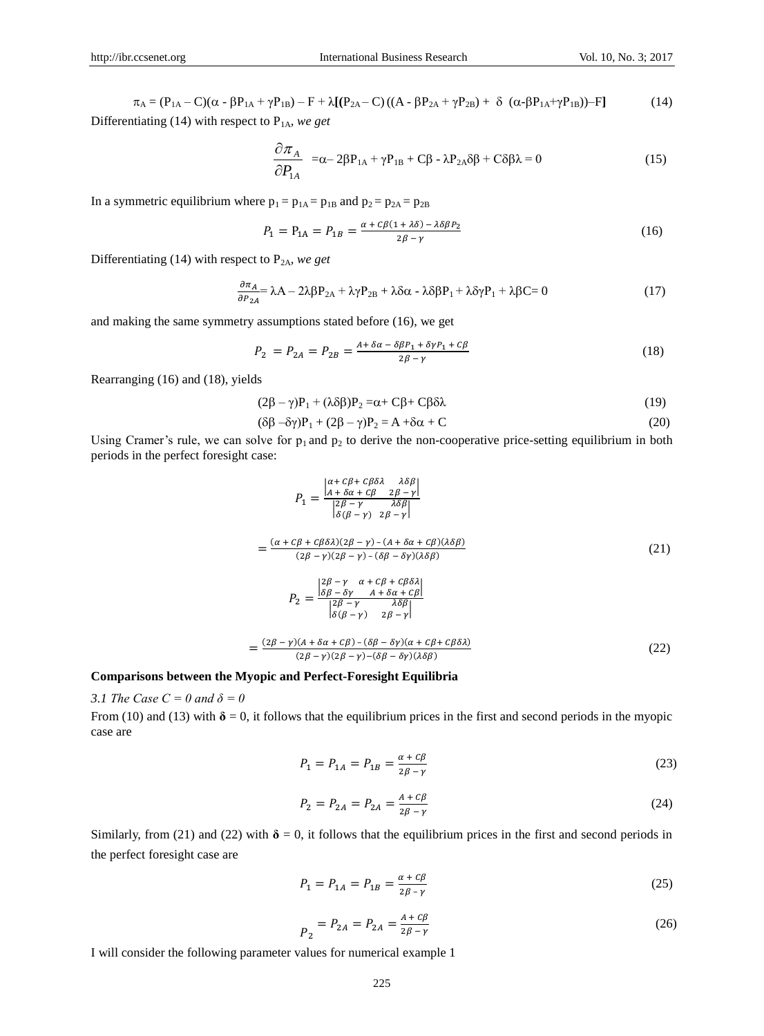$$
\pi_{A} = (P_{1A} - C)(\alpha - \beta P_{1A} + \gamma P_{1B}) - F + \lambda [(P_{2A} - C)((A - \beta P_{2A} + \gamma P_{2B}) + \delta (\alpha - \beta P_{1A} + \gamma P_{1B})) - F] \tag{14}
$$

Differentiating (14) with respect to P1A*, we get*

$$
\frac{\partial \pi_A}{\partial P_{1A}} = \alpha - 2\beta P_{1A} + \gamma P_{1B} + C\beta - \lambda P_{2A}\delta\beta + C\delta\beta\lambda = 0
$$
\n(15)

In a symmetric equilibrium where  $p_1 = p_{1A} = p_{1B}$  and  $p_2 = p_{2A} = p_{2B}$ 

$$
P_1 = P_{1A} = P_{1B} = \frac{\alpha + c\beta(1 + \lambda\delta) - \lambda\delta\beta P_2}{2\beta - \gamma}
$$
\n(16)

Differentiating (14) with respect to P2A*, we get*

$$
\frac{\partial \pi_A}{\partial P_{2A}} = \lambda A - 2\lambda \beta P_{2A} + \lambda \gamma P_{2B} + \lambda \delta \alpha - \lambda \delta \beta P_1 + \lambda \delta \gamma P_1 + \lambda \beta C = 0
$$
\n(17)

and making the same symmetry assumptions stated before (16), we get

$$
P_2 = P_{2A} = P_{2B} = \frac{A + \delta \alpha - \delta \beta P_1 + \delta \gamma P_1 + C \beta}{2\beta - \gamma}
$$
\n(18)

Rearranging (16) and (18), yields

$$
(2\beta - \gamma)P_1 + (\lambda \delta \beta)P_2 = \alpha + C\beta + C\beta \delta \lambda \tag{19}
$$

$$
(\delta\beta - \delta\gamma)P_1 + (2\beta - \gamma)P_2 = A + \delta\alpha + C \tag{20}
$$

Using Cramer's rule, we can solve for  $p_1$  and  $p_2$  to derive the non-cooperative price-setting equilibrium in both periods in the perfect foresight case:

$$
P_{1} = \frac{\begin{vmatrix} \alpha + C\beta + C\beta\delta\lambda & \lambda\delta\beta \\ \lambda + \delta\alpha + C\beta & 2\beta - \gamma \end{vmatrix}}{\begin{vmatrix} 2\beta - \gamma & \lambda\delta\beta \\ \delta(\beta - \gamma) & 2\beta - \gamma \end{vmatrix}}
$$
  
= 
$$
\frac{(\alpha + C\beta + C\beta\delta\lambda)(2\beta - \gamma) - (A + \delta\alpha + C\beta)(\lambda\delta\beta)}{(2\beta - \gamma)(2\beta - \gamma) - (\delta\beta - \delta\gamma)(\lambda\delta\beta)}
$$
(21)  

$$
P_{2} = \frac{\begin{vmatrix} 2\beta - \gamma & \alpha + C\beta + C\beta\delta\lambda \\ \delta\beta - \delta\gamma & A + \delta\alpha + C\beta \end{vmatrix}}{\begin{vmatrix} 2\beta - \gamma & \lambda\delta\beta \\ \delta(\beta - \gamma) & 2\beta - \gamma \end{vmatrix}}
$$
  
= 
$$
\frac{(2\beta - \gamma)(A + \delta\alpha + C\beta) - (\delta\beta - \delta\gamma)(\alpha + C\beta + C\beta\delta\lambda)}{(2\beta - \gamma)(2\beta - \gamma) - (\delta\beta - \delta\gamma)(\lambda\delta\beta)}
$$
(22)

#### **Comparisons between the Myopic and Perfect-Foresight Equilibria**

=

### *3.1 The Case C = 0 and*  $\delta = 0$

From (10) and (13) with  $\delta = 0$ , it follows that the equilibrium prices in the first and second periods in the myopic case are

$$
P_1 = P_{1A} = P_{1B} = \frac{\alpha + C\beta}{2\beta - \gamma}
$$
\n(23)

$$
P_2 = P_{2A} = P_{2A} = \frac{A + C\beta}{2\beta - \gamma} \tag{24}
$$

Similarly, from (21) and (22) with  $\delta = 0$ , it follows that the equilibrium prices in the first and second periods in the perfect foresight case are

$$
P_1 = P_{1A} = P_{1B} = \frac{\alpha + c\beta}{2\beta - \gamma} \tag{25}
$$

$$
P_2 = P_{2A} = P_{2A} = \frac{A + C\beta}{2\beta - \gamma}
$$
 (26)

I will consider the following parameter values for numerical example 1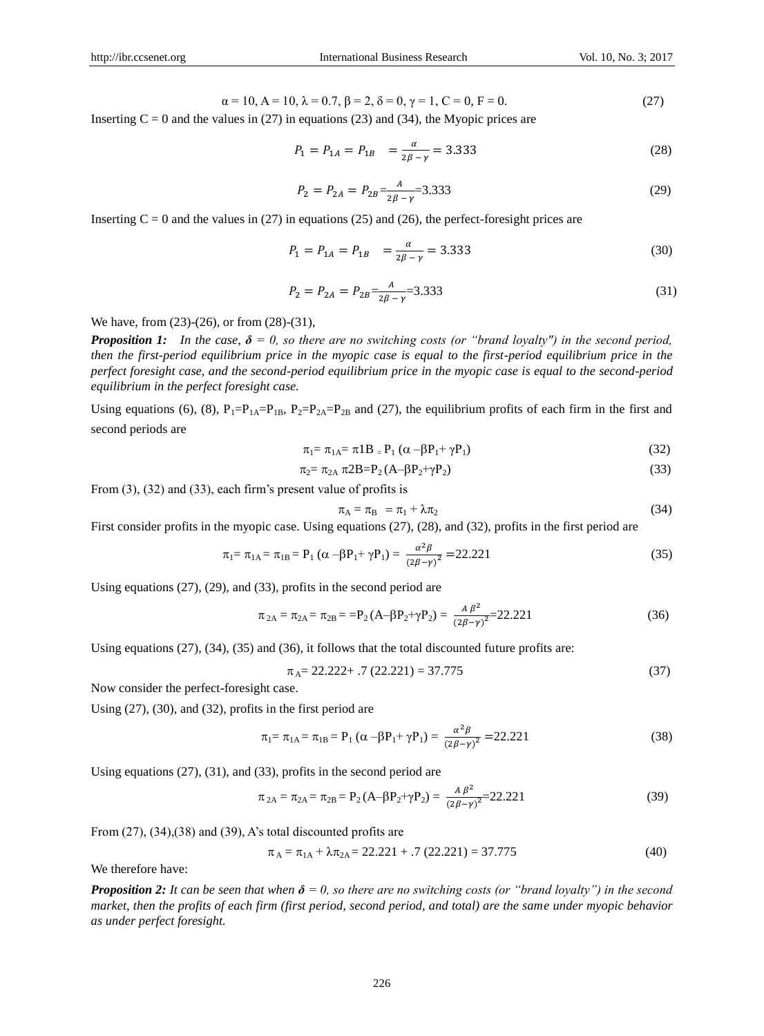$$
\alpha = 10, A = 10, \lambda = 0.7, \beta = 2, \delta = 0, \gamma = 1, C = 0, F = 0.
$$
 (27)

Inserting  $C = 0$  and the values in (27) in equations (23) and (34), the Myopic prices are

$$
P_1 = P_{1A} = P_{1B} = \frac{\alpha}{2\beta - \gamma} = 3.333\tag{28}
$$

$$
P_2 = P_{2A} = P_{2B} \frac{A}{2\beta - \gamma} = 3.333 \tag{29}
$$

Inserting  $C = 0$  and the values in (27) in equations (25) and (26), the perfect-foresight prices are

$$
P_1 = P_{1A} = P_{1B} = \frac{\alpha}{2\beta - \gamma} = 3.333\tag{30}
$$

$$
P_2 = P_{2A} = P_{2B} = \frac{A}{2\beta - \gamma} = 3.333\tag{31}
$$

We have, from (23)-(26), or from (28)-(31),

*Proposition 1:* In the case,  $\delta = 0$ , so there are no switching costs (or "brand loyalty") in the second period, *then the first-period equilibrium price in the myopic case is equal to the first-period equilibrium price in the perfect foresight case, and the second-period equilibrium price in the myopic case is equal to the second-period equilibrium in the perfect foresight case.* 

Using equations (6), (8),  $P_1 = P_{1A} = P_{1B}$ ,  $P_2 = P_{2A} = P_{2B}$  and (27), the equilibrium profits of each firm in the first and second periods are

$$
\pi_1 = \pi_{1A} = \pi 1B = P_1 (\alpha - \beta P_1 + \gamma P_1)
$$
\n(32)

$$
\pi_2 = \pi_{2A} \pi_2 B = P_2 (A - \beta P_2 + \gamma P_2) \tag{33}
$$

From (3), (32) and (33), each firm's present value of profits is

$$
\pi_{\mathcal{A}} = \pi_{\mathcal{B}} = \pi_1 + \lambda \pi_2 \tag{34}
$$

First consider profits in the myopic case. Using equations (27), (28), and (32), profits in the first period are

$$
\pi_1 = \pi_{1A} = \pi_{1B} = P_1 (\alpha - \beta P_1 + \gamma P_1) = \frac{\alpha^2 \beta}{(2\beta - \gamma)^2} = 22.221
$$
\n(35)

Using equations (27), (29), and (33), profits in the second period are

$$
\pi_{2A} = \pi_{2A} = \pi_{2B} = -P_2 (A - \beta P_2 + \gamma P_2) = \frac{A \beta^2}{(2\beta - \gamma)^2} = 22.221
$$
\n(36)

Using equations (27), (34), (35) and (36), it follows that the total discounted future profits are:

$$
\pi_A = 22.222 + .7 (22.221) = 37.775
$$
\n(37)

Now consider the perfect-foresight case.

Using (27), (30), and (32), profits in the first period are

$$
\pi_1 = \pi_{1A} = \pi_{1B} = P_1 (\alpha - \beta P_1 + \gamma P_1) = \frac{\alpha^2 \beta}{(2\beta - \gamma)^2} = 22.221
$$
\n(38)

Using equations (27), (31), and (33), profits in the second period are

$$
\pi_{2A} = \pi_{2A} = \pi_{2B} = P_2 (A - \beta P_2 + \gamma P_2) = \frac{A \beta^2}{(2\beta - \gamma)^2} = 22.221
$$
\n(39)

From (27), (34), (38) and (39), A's total discounted profits are

$$
\pi_A = \pi_{1A} + \lambda \pi_{2A} = 22.221 + .7 (22.221) = 37.775
$$
 (40)

We therefore have:

*Proposition 2: It can be seen that when*  $\delta = 0$ , so there are no switching costs (or "brand loyalty") in the second *market, then the profits of each firm (first period, second period, and total) are the same under myopic behavior as under perfect foresight.*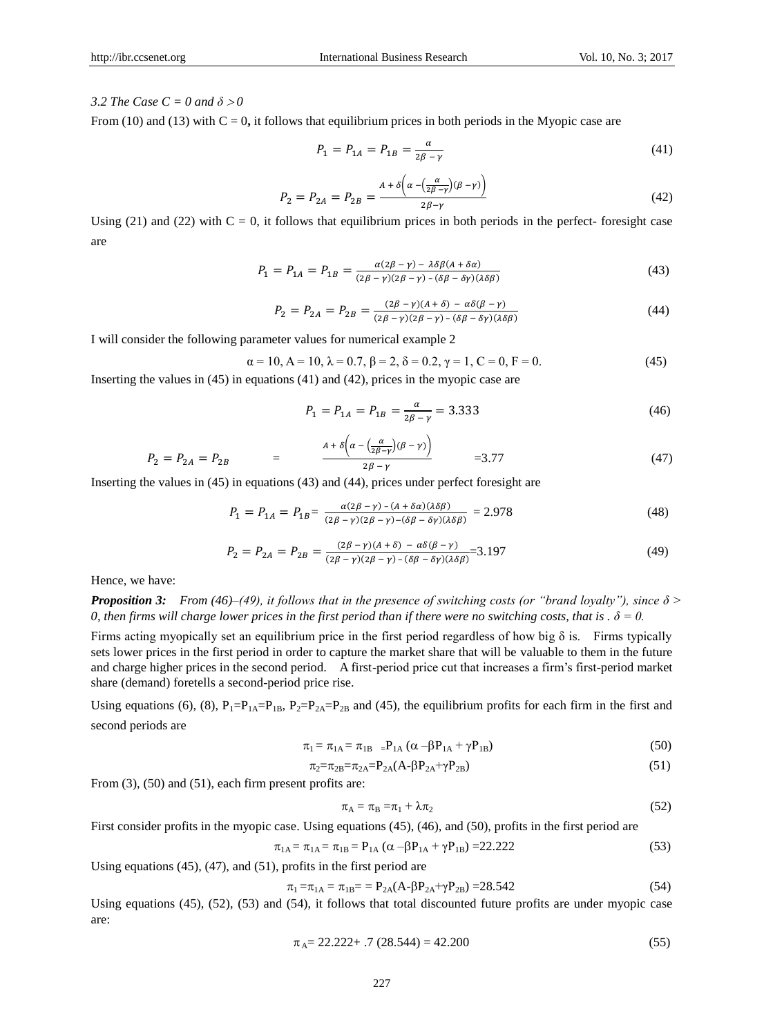## *3.2 The Case C = 0 and*  $\delta > 0$

From (10) and (13) with  $C = 0$ , it follows that equilibrium prices in both periods in the Myopic case are

$$
P_1 = P_{1A} = P_{1B} = \frac{\alpha}{2\beta - \gamma} \tag{41}
$$

$$
P_2 = P_{2A} = P_{2B} = \frac{A + \delta \left( \alpha - \left( \frac{\alpha}{2\beta - \gamma} \right) (\beta - \gamma) \right)}{2\beta - \gamma}
$$
(42)

Using (21) and (22) with  $C = 0$ , it follows that equilibrium prices in both periods in the perfect-foresight case are

$$
P_1 = P_{1A} = P_{1B} = \frac{\alpha (2\beta - \gamma) - \lambda \delta \beta (A + \delta \alpha)}{(2\beta - \gamma)(2\beta - \gamma) - (\delta \beta - \delta \gamma)(\lambda \delta \beta)}\tag{43}
$$

$$
P_2 = P_{2A} = P_{2B} = \frac{(2\beta - \gamma)(A + \delta) - \alpha\delta(\beta - \gamma)}{(2\beta - \gamma)(2\beta - \gamma) - (\delta\beta - \delta\gamma)(\lambda\delta\beta)}\tag{44}
$$

I will consider the following parameter values for numerical example 2

$$
\alpha = 10, A = 10, \lambda = 0.7, \beta = 2, \delta = 0.2, \gamma = 1, C = 0, F = 0.
$$
\n
$$
(45)
$$

Inserting the values in (45) in equations (41) and (42), prices in the myopic case are

$$
P_1 = P_{1A} = P_{1B} = \frac{\alpha}{2\beta - \gamma} = 3.333\tag{46}
$$

$$
P_2 = P_{2A} = P_{2B} = \frac{A + \delta \left( \alpha - \left( \frac{\alpha}{2\beta - \gamma} \right) (\beta - \gamma) \right)}{2\beta - \gamma}} = 3.77
$$
(47)

Inserting the values in (45) in equations (43) and (44), prices under perfect foresight are

$$
P_1 = P_{1A} = P_{1B} = \frac{\alpha (2\beta - \gamma) - (A + \delta \alpha)(\lambda \delta \beta)}{(2\beta - \gamma)(2\beta - \gamma) - (\delta \beta - \delta \gamma)(\lambda \delta \beta)} = 2.978
$$
\n(48)

$$
P_2 = P_{2A} = P_{2B} = \frac{(2\beta - \gamma)(A + \delta) - \alpha\delta(\beta - \gamma)}{(2\beta - \gamma)(2\beta - \gamma) - (\delta\beta - \delta\gamma)(\lambda\delta\beta)} = 3.197
$$
\n(49)

Hence, we have:

*Proposition 3: From (46)–(49), it follows that in the presence of switching costs (or "brand loyalty"), since δ > 0, then firms will charge lower prices in the first period than if there were no switching costs, that is .*  $\delta = 0$ .

Firms acting myopically set an equilibrium price in the first period regardless of how big  $\delta$  is. Firms typically sets lower prices in the first period in order to capture the market share that will be valuable to them in the future and charge higher prices in the second period. A first-period price cut that increases a firm's first-period market share (demand) foretells a second-period price rise.

Using equations (6), (8),  $P_1 = P_{1A} = P_{1B}$ ,  $P_2 = P_{2A} = P_{2B}$  and (45), the equilibrium profits for each firm in the first and second periods are

$$
\pi_1 = \pi_{1A} = \pi_{1B} \quad P_{1A} \left( \alpha - \beta P_{1A} + \gamma P_{1B} \right) \tag{50}
$$

$$
\pi_2 = \pi_{2B} = \pi_{2A} = P_{2A}(A - \beta P_{2A} + \gamma P_{2B})
$$
\n(51)

From (3), (50) and (51), each firm present profits are:

$$
\pi_{\rm A} = \pi_{\rm B} = \pi_1 + \lambda \pi_2 \tag{52}
$$

First consider profits in the myopic case. Using equations (45), (46), and (50), profits in the first period are

$$
\pi_{1A} = \pi_{1A} = \pi_{1B} = P_{1A} (\alpha - \beta P_{1A} + \gamma P_{1B}) = 22.222
$$
\n(53)

Using equations (45), (47), and (51), profits in the first period are

$$
\pi_1 = \pi_{1A} = \pi_{1B} = P_{2A}(A - \beta P_{2A} + \gamma P_{2B}) = 28.542
$$
\n(54)

Using equations (45), (52), (53) and (54), it follows that total discounted future profits are under myopic case are:

$$
\pi_A = 22.222 + .7 (28.544) = 42.200
$$
\n<sup>(55)</sup>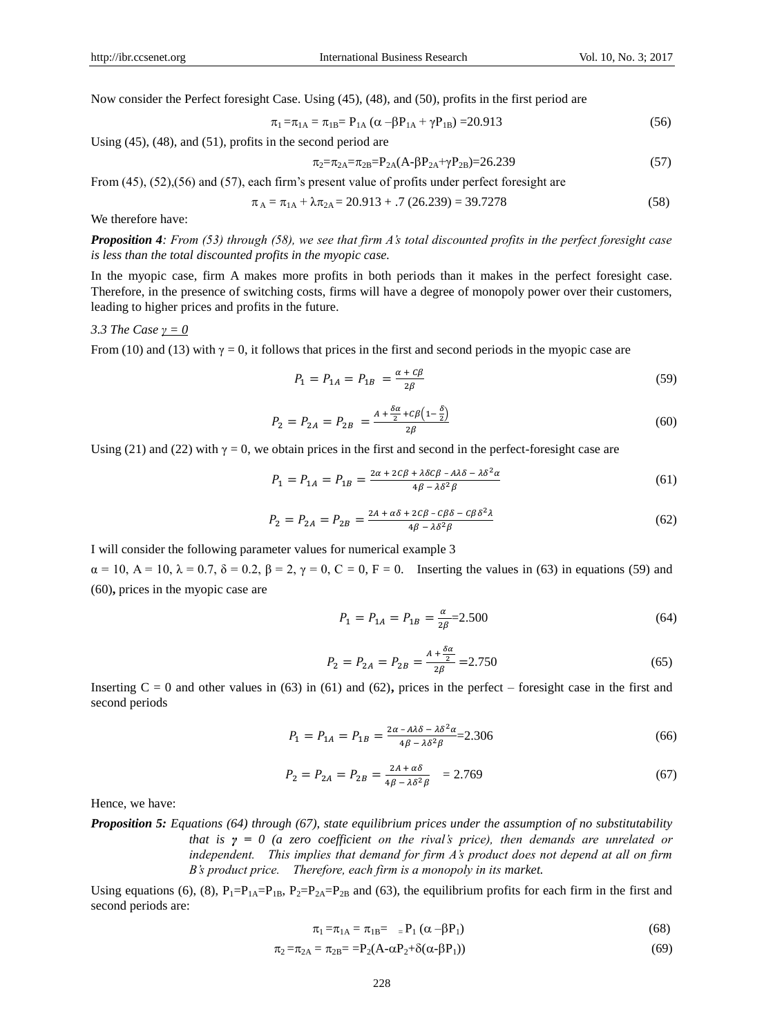Now consider the Perfect foresight Case. Using (45), (48), and (50), profits in the first period are

$$
\pi_1 = \pi_{1A} = \pi_{1B} = P_{1A} (\alpha - \beta P_{1A} + \gamma P_{1B}) = 20.913
$$
\n(56)

Using (45), (48), and (51), profits in the second period are

$$
\pi_2 = \pi_{2A} = \pi_{2B} = P_{2A}(A - \beta P_{2A} + \gamma P_{2B}) = 26.239\tag{57}
$$

From (45), (52),(56) and (57), each firm's present value of profits under perfect foresight are

$$
\pi_A = \pi_{1A} + \lambda \pi_{2A} = 20.913 + .7 (26.239) = 39.7278
$$
\n(58)

We therefore have:

*Proposition 4: From (53) through (58), we see that firm A's total discounted profits in the perfect foresight case is less than the total discounted profits in the myopic case.* 

In the myopic case, firm A makes more profits in both periods than it makes in the perfect foresight case. Therefore, in the presence of switching costs, firms will have a degree of monopoly power over their customers, leading to higher prices and profits in the future.

#### *3.3 The Case γ = 0*

From (10) and (13) with  $\gamma = 0$ , it follows that prices in the first and second periods in the myopic case are

$$
P_1 = P_{1A} = P_{1B} = \frac{\alpha + c\beta}{2\beta} \tag{59}
$$

$$
P_2 = P_{2A} = P_{2B} = \frac{A + \frac{\delta \alpha}{2} + c\beta \left(1 - \frac{\delta}{2}\right)}{2\beta} \tag{60}
$$

Using (21) and (22) with  $\gamma = 0$ , we obtain prices in the first and second in the perfect-foresight case are

$$
P_1 = P_{1A} = P_{1B} = \frac{2\alpha + 2C\beta + \lambda\delta C\beta - A\lambda\delta - \lambda\delta^2\alpha}{4\beta - \lambda\delta^2\beta}
$$
(61)

$$
P_2 = P_{2A} = P_{2B} = \frac{2A + \alpha\delta + 2C\beta - C\beta\delta - C\beta\delta^2\lambda}{4\beta - \lambda\delta^2\beta}
$$
(62)

I will consider the following parameter values for numerical example 3

 $\alpha = 10$ ,  $A = 10$ ,  $\lambda = 0.7$ ,  $\delta = 0.2$ ,  $\beta = 2$ ,  $\gamma = 0$ ,  $C = 0$ ,  $F = 0$ . Inserting the values in (63) in equations (59) and (60)**,** prices in the myopic case are

$$
P_1 = P_{1A} = P_{1B} = \frac{\alpha}{2\beta} = 2.500\tag{64}
$$

$$
P_2 = P_{2A} = P_{2B} = \frac{A + \frac{\delta \alpha}{2}}{2\beta} = 2.750\tag{65}
$$

Inserting  $C = 0$  and other values in (63) in (61) and (62), prices in the perfect – foresight case in the first and second periods

$$
P_1 = P_{1A} = P_{1B} = \frac{2\alpha - A\lambda\delta - \lambda\delta^2\alpha}{4\beta - \lambda\delta^2\beta} = 2.306\tag{66}
$$

$$
P_2 = P_{2A} = P_{2B} = \frac{2A + a\delta}{4\beta - \lambda\delta^2\beta} = 2.769\tag{67}
$$

Hence, we have:

*Proposition 5: Equations (64) through (67), state equilibrium prices under the assumption of no substitutability that is γ = 0 (a zero coefficient on the rival's price), then demands are unrelated or independent. This implies that demand for firm A's product does not depend at all on firm B's product price. Therefore, each firm is a monopoly in its market.* 

Using equations (6), (8),  $P_1 = P_{1A} = P_{1B}$ ,  $P_2 = P_{2A} = P_{2B}$  and (63), the equilibrium profits for each firm in the first and second periods are:

$$
\pi_1 = \pi_{1A} = \pi_{1B} = P_1 (\alpha - \beta P_1) \tag{68}
$$

$$
\pi_2 = \pi_{2A} = \pi_{2B} = P_2(A - \alpha P_2 + \delta(\alpha - \beta P_1))
$$
\n(69)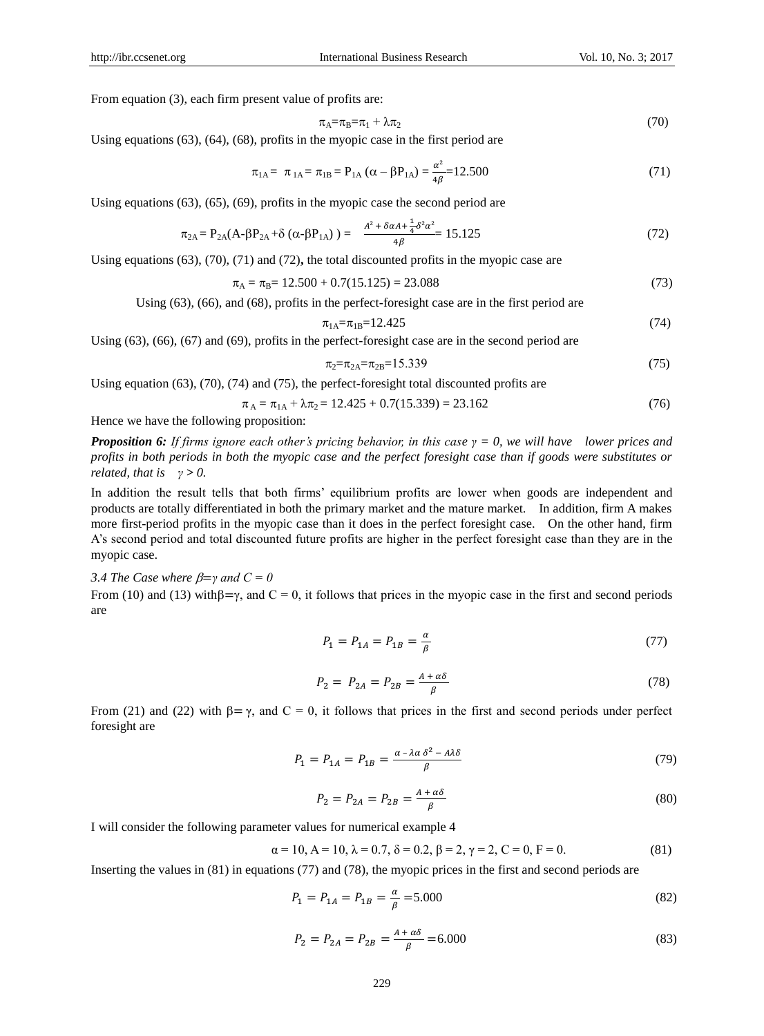From equation (3), each firm present value of profits are:

$$
\pi_{A} = \pi_{B} = \pi_{1} + \lambda \pi_{2} \tag{70}
$$

Using equations (63), (64), (68), profits in the myopic case in the first period are

$$
\pi_{1A} = \pi_{1A} = \pi_{1B} = P_{1A} (\alpha - \beta P_{1A}) = \frac{\alpha^2}{4\beta} = 12.500
$$
\n(71)

Using equations (63), (65), (69), profits in the myopic case the second period are

$$
\pi_{2A} = P_{2A}(A - \beta P_{2A} + \delta (\alpha - \beta P_{1A})) = \frac{A^2 + \delta \alpha A + \frac{1}{4} \delta^2 \alpha^2}{4\beta} = 15.125
$$
\n(72)

Using equations (63), (70), (71) and (72)**,** the total discounted profits in the myopic case are

$$
\pi_{\rm A} = \pi_{\rm B} = 12.500 + 0.7(15.125) = 23.088\tag{73}
$$

Using (63), (66), and (68), profits in the perfect-foresight case are in the first period are

$$
\pi_{1A} = \pi_{1B} = 12.425\tag{74}
$$

Using 
$$
(63)
$$
,  $(66)$ ,  $(67)$  and  $(69)$ , profits in the perfect-foresight case are in the second period are

$$
\pi_2 = \pi_{2A} = \pi_{2B} = 15.339\tag{75}
$$

Using equation (63), (70), (74) and (75), the perfect-foresight total discounted profits are

$$
\pi_A = \pi_{1A} + \lambda \pi_2 = 12.425 + 0.7(15.339) = 23.162 \tag{76}
$$

Hence we have the following proposition:

*Proposition 6: If firms ignore each other's pricing behavior, in this case γ = 0, we will have lower prices and profits in both periods in both the myopic case and the perfect foresight case than if goods were substitutes or related, that is*  $y > 0$ .

In addition the result tells that both firms' equilibrium profits are lower when goods are independent and products are totally differentiated in both the primary market and the mature market. In addition, firm A makes more first-period profits in the myopic case than it does in the perfect foresight case. On the other hand, firm A's second period and total discounted future profits are higher in the perfect foresight case than they are in the myopic case.

## *3.4 The Case where*  $\beta = \gamma$  *and C = 0*

From (10) and (13) with  $\beta = \gamma$ , and C = 0, it follows that prices in the myopic case in the first and second periods are

$$
P_1 = P_{1A} = P_{1B} = \frac{\alpha}{\beta} \tag{77}
$$

$$
P_2 = P_{2A} = P_{2B} = \frac{A + a\delta}{\beta} \tag{78}
$$

From (21) and (22) with  $\beta = \gamma$ , and C = 0, it follows that prices in the first and second periods under perfect foresight are

$$
P_1 = P_{1A} = P_{1B} = \frac{\alpha - \lambda \alpha \delta^2 - A\lambda \delta}{\beta} \tag{79}
$$

$$
P_2 = P_{2A} = P_{2B} = \frac{A + a\delta}{\beta}
$$
\n(80)

I will consider the following parameter values for numerical example 4

$$
\alpha = 10, A = 10, \lambda = 0.7, \delta = 0.2, \beta = 2, \gamma = 2, C = 0, F = 0.
$$
 (81)

Inserting the values in (81) in equations (77) and (78), the myopic prices in the first and second periods are

$$
P_1 = P_{1A} = P_{1B} = \frac{\alpha}{\beta} = 5.000\tag{82}
$$

$$
P_2 = P_{2A} = P_{2B} = \frac{A + a\delta}{\beta} = 6.000
$$
\n(83)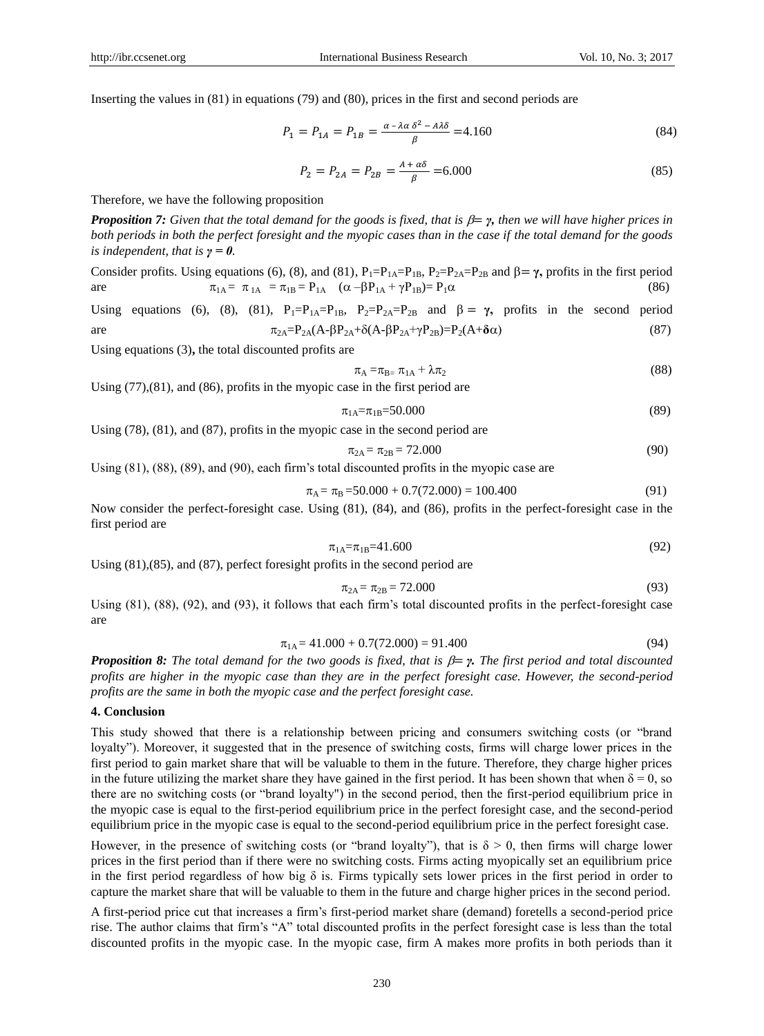Inserting the values in (81) in equations (79) and (80), prices in the first and second periods are

$$
P_1 = P_{1A} = P_{1B} = \frac{\alpha - \lambda \alpha \delta^2 - A\lambda \delta}{\beta} = 4.160
$$
 (84)

$$
P_2 = P_{2A} = P_{2B} = \frac{A + a\delta}{\beta} = 6.000
$$
\n(85)

Therefore, we have the following proposition

*Proposition 7: Given that the total demand for the goods is fixed, that is*  $\beta = \gamma$ *, then we will have higher prices in both periods in both the perfect foresight and the myopic cases than in the case if the total demand for the goods is independent, that is*  $\gamma = 0$ *.* 

Consider profits. Using equations (6), (8), and (81),  $P_1 = P_{1A} = P_{1B}$ ,  $P_2 = P_{2A} = P_{2B}$  and  $\beta = \gamma$ , profits in the first period are  $\pi_{1A} = \pi_{1A} = \pi_{1B} = P_{1A} \quad (\alpha - \beta P_{1A} + \gamma P_{1B}) = P_{1} \alpha$  (86)

Using equations (6), (8), (81),  $P_1 = P_{1A} = P_{1B}$ ,  $P_2 = P_{2A} = P_{2B}$  and  $\beta = \gamma$ , profits in the second period are  $π_{2A}=P_{2A}(A-βP_{2A}+δ(A-βP_{2A}+γP_{2B})=P_2(A+δα)$  (87)

Using equations (3)**,** the total discounted profits are

$$
\pi_{\rm A} = \pi_{\rm B} = \pi_{1\rm A} + \lambda \pi_2 \tag{88}
$$

Using (77),(81), and (86), profits in the myopic case in the first period are

$$
\pi_{1A} = \pi_{1B} = 50.000\tag{89}
$$

Using (78), (81), and (87), profits in the myopic case in the second period are

$$
\pi_{2A} = \pi_{2B} = 72.000\tag{90}
$$

Using (81), (88), (89), and (90), each firm's total discounted profits in the myopic case are

$$
\pi_{\rm A} = \pi_{\rm B} = 50.000 + 0.7(72.000) = 100.400\tag{91}
$$

Now consider the perfect-foresight case. Using (81), (84), and (86), profits in the perfect-foresight case in the first period are

$$
\pi_{1A} = \pi_{1B} = 41.600\tag{92}
$$

Using (81),(85), and (87), perfect foresight profits in the second period are

$$
\pi_{2A} = \pi_{2B} = 72.000
$$
\n(93)

Using (81), (88), (92), and (93), it follows that each firm's total discounted profits in the perfect-foresight case are

$$
\pi_{1A} = 41.000 + 0.7(72.000) = 91.400\tag{94}
$$

*Proposition 8: The total demand for the two goods is fixed, that is*  $\beta = \gamma$ *. The first period and total discounted profits are higher in the myopic case than they are in the perfect foresight case. However, the second-period profits are the same in both the myopic case and the perfect foresight case.* 

## **4. Conclusion**

This study showed that there is a relationship between pricing and consumers switching costs (or "brand loyalty"). Moreover, it suggested that in the presence of switching costs, firms will charge lower prices in the first period to gain market share that will be valuable to them in the future. Therefore, they charge higher prices in the future utilizing the market share they have gained in the first period. It has been shown that when  $\delta = 0$ , so there are no switching costs (or "brand loyalty") in the second period, then the first-period equilibrium price in the myopic case is equal to the first-period equilibrium price in the perfect foresight case, and the second-period equilibrium price in the myopic case is equal to the second-period equilibrium price in the perfect foresight case.

However, in the presence of switching costs (or "brand loyalty"), that is  $\delta > 0$ , then firms will charge lower prices in the first period than if there were no switching costs. Firms acting myopically set an equilibrium price in the first period regardless of how big δ is. Firms typically sets lower prices in the first period in order to capture the market share that will be valuable to them in the future and charge higher prices in the second period.

A first-period price cut that increases a firm's first-period market share (demand) foretells a second-period price rise. The author claims that firm's "A" total discounted profits in the perfect foresight case is less than the total discounted profits in the myopic case. In the myopic case, firm A makes more profits in both periods than it